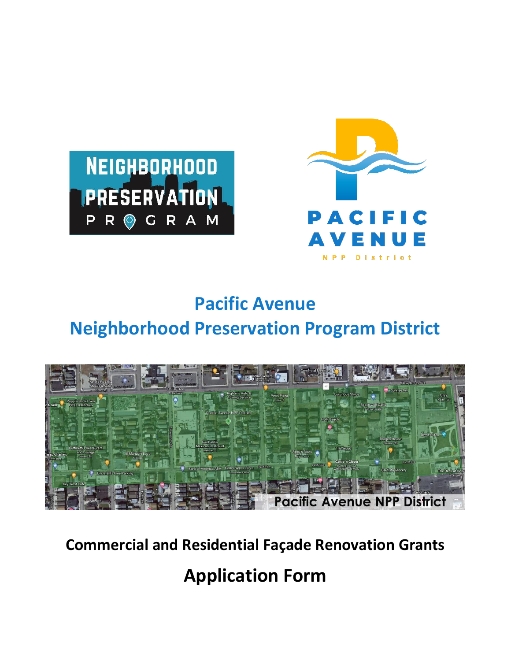



# **Pacific Avenue Neighborhood Preservation Program District**



### **Commercial and Residential Façade Renovation Grants**

## **Application Form**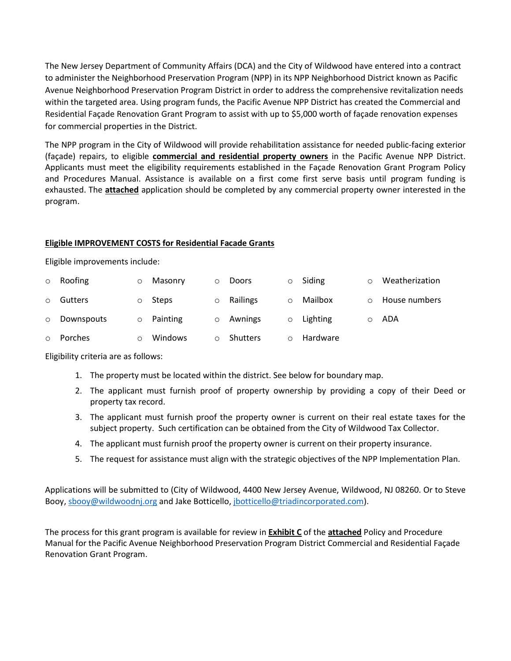The New Jersey Department of Community Affairs (DCA) and the City of Wildwood have entered into a contract to administer the Neighborhood Preservation Program (NPP) in its NPP Neighborhood District known as Pacific Avenue Neighborhood Preservation Program District in order to address the comprehensive revitalization needs within the targeted area. Using program funds, the Pacific Avenue NPP District has created the Commercial and Residential Façade Renovation Grant Program to assist with up to \$5,000 worth of façade renovation expenses for commercial properties in the District.

The NPP program in the City of Wildwood will provide rehabilitation assistance for needed public-facing exterior (façade) repairs, to eligible **commercial and residential property owners** in the Pacific Avenue NPP District. Applicants must meet the eligibility requirements established in the Façade Renovation Grant Program Policy and Procedures Manual. Assistance is available on a first come first serve basis until program funding is exhausted. The **attached** application should be completed by any commercial property owner interested in the program.

#### **Eligible IMPROVEMENT COSTS for Residential Facade Grants**

Eligible improvements include:

|         | $\circ$ Roofing | $\circ$ | Masonry          | $\circ$  | Doors           | $\circ$ | Siding   | $\circ$ | Weatherization |
|---------|-----------------|---------|------------------|----------|-----------------|---------|----------|---------|----------------|
| $\circ$ | Gutters         |         | Steps            |          | Railings        | $\circ$ | Mailbox  |         | House numbers  |
|         | o Downspouts    |         | $\circ$ Painting | $\Omega$ | Awnings         | $\circ$ | Lighting | $\circ$ | ADA            |
| $\circ$ | Porches         |         | Windows          |          | <b>Shutters</b> | $\circ$ | Hardware |         |                |

Eligibility criteria are as follows:

- 1. The property must be located within the district. See below for boundary map.
- 2. The applicant must furnish proof of property ownership by providing a copy of their Deed or property tax record.
- 3. The applicant must furnish proof the property owner is current on their real estate taxes for the subject property. Such certification can be obtained from the City of Wildwood Tax Collector.
- 4. The applicant must furnish proof the property owner is current on their property insurance.
- 5. The request for assistance must align with the strategic objectives of the NPP Implementation Plan.

Applications will be submitted to (City of Wildwood, 4400 New Jersey Avenue, Wildwood, NJ 08260. Or to Steve Booy, [sbooy@wildwoodnj.org](mailto:sbooy@wildwoodnj.org) and Jake Botticello[, jbotticello@triadincorporated.com\)](mailto:jbotticello@triadincorporated.com).

The process for this grant program is available for review in **Exhibit C** of the **attached** Policy and Procedure Manual for the Pacific Avenue Neighborhood Preservation Program District Commercial and Residential Façade Renovation Grant Program.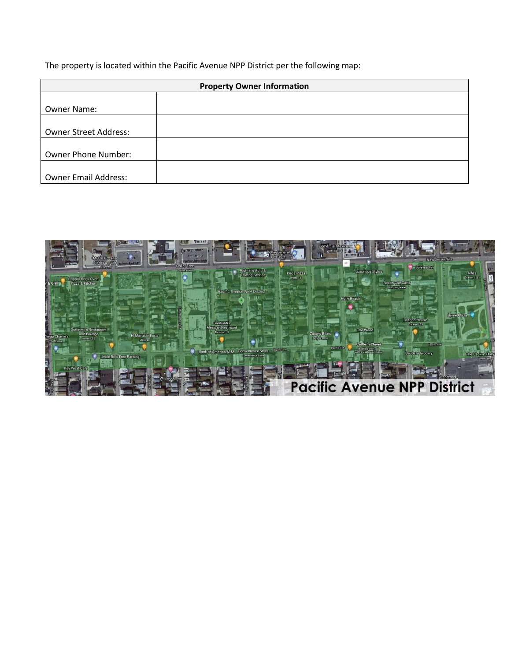The property is located within the Pacific Avenue NPP District per the following map:

| <b>Property Owner Information</b> |  |  |
|-----------------------------------|--|--|
|                                   |  |  |
| Owner Name:                       |  |  |
|                                   |  |  |
| <b>Owner Street Address:</b>      |  |  |
|                                   |  |  |
| Owner Phone Number:               |  |  |
|                                   |  |  |
| <b>Owner Email Address:</b>       |  |  |

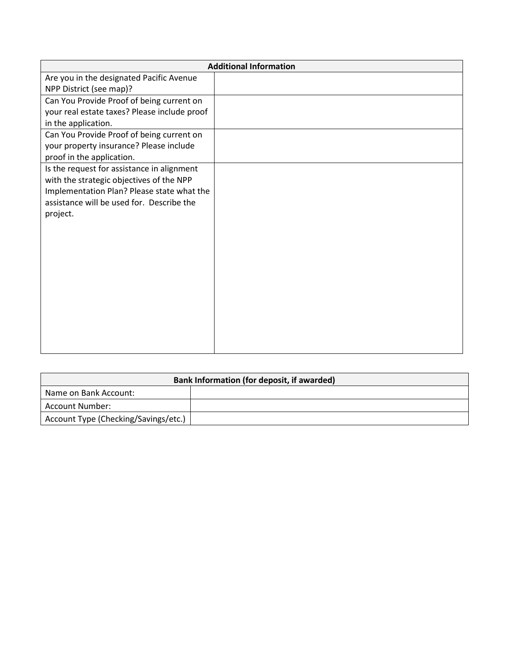| <b>Additional Information</b>                |  |  |  |  |
|----------------------------------------------|--|--|--|--|
| Are you in the designated Pacific Avenue     |  |  |  |  |
| NPP District (see map)?                      |  |  |  |  |
| Can You Provide Proof of being current on    |  |  |  |  |
| your real estate taxes? Please include proof |  |  |  |  |
| in the application.                          |  |  |  |  |
| Can You Provide Proof of being current on    |  |  |  |  |
| your property insurance? Please include      |  |  |  |  |
| proof in the application.                    |  |  |  |  |
| Is the request for assistance in alignment   |  |  |  |  |
| with the strategic objectives of the NPP     |  |  |  |  |
| Implementation Plan? Please state what the   |  |  |  |  |
| assistance will be used for. Describe the    |  |  |  |  |
| project.                                     |  |  |  |  |
|                                              |  |  |  |  |
|                                              |  |  |  |  |
|                                              |  |  |  |  |
|                                              |  |  |  |  |
|                                              |  |  |  |  |
|                                              |  |  |  |  |
|                                              |  |  |  |  |
|                                              |  |  |  |  |
|                                              |  |  |  |  |
|                                              |  |  |  |  |
|                                              |  |  |  |  |

| Bank Information (for deposit, if awarded) |  |  |  |  |
|--------------------------------------------|--|--|--|--|
| Name on Bank Account:                      |  |  |  |  |
| Account Number:                            |  |  |  |  |
| Account Type (Checking/Savings/etc.)       |  |  |  |  |